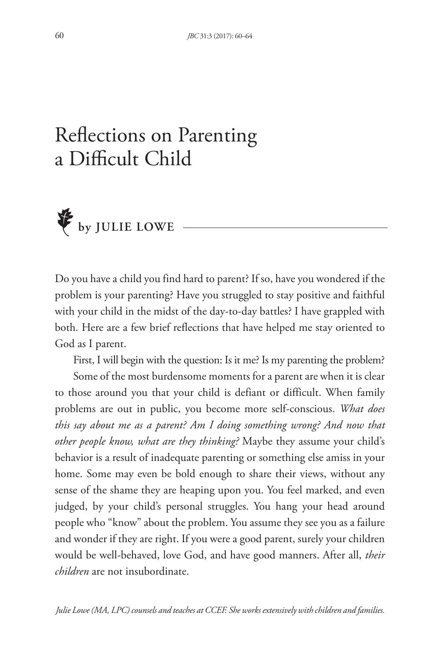## Reflections on Parenting a Difficult Child



Do you have a child you find hard to parent? If so, have you wondered if the problem is your parenting? Have you struggled to stay positive and faithful with your child in the midst of the day-to-day battles? I have grappled with both. Here are a few brief reflections that have helped me stay oriented to God as I parent.

First, I will begin with the question: Is it me? Is my parenting the problem?

Some of the most burdensome moments for a parent are when it is clear to those around you that your child is defiant or difficult. When family problems are out in public, you become more self-conscious. *What does this say about me as a parent? Am I doing something wrong? And now that other people know, what are they thinking?* Maybe they assume your child's behavior is a result of inadequate parenting or something else amiss in your home. Some may even be bold enough to share their views, without any sense of the shame they are heaping upon you. You feel marked, and even judged, by your child's personal struggles. You hang your head around people who "know" about the problem. You assume they see you as a failure and wonder if they are right. If you were a good parent, surely your children would be well-behaved, love God, and have good manners. After all, *their children* are not insubordinate.

*Julie Lowe (MA, LPC) counsels and teaches at CCEF. She works extensively with children and families.*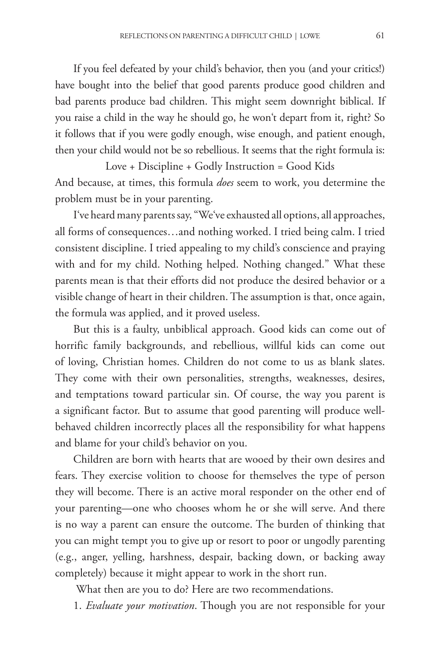If you feel defeated by your child's behavior, then you (and your critics!) have bought into the belief that good parents produce good children and bad parents produce bad children. This might seem downright biblical. If you raise a child in the way he should go, he won't depart from it, right? So it follows that if you were godly enough, wise enough, and patient enough, then your child would not be so rebellious. It seems that the right formula is:

Love + Discipline + Godly Instruction = Good Kids And because, at times, this formula *does* seem to work, you determine the problem must be in your parenting.

I've heard many parents say, "We've exhausted all options, all approaches, all forms of consequences…and nothing worked. I tried being calm. I tried consistent discipline. I tried appealing to my child's conscience and praying with and for my child. Nothing helped. Nothing changed." What these parents mean is that their efforts did not produce the desired behavior or a visible change of heart in their children. The assumption is that, once again, the formula was applied, and it proved useless.

But this is a faulty, unbiblical approach. Good kids can come out of horrific family backgrounds, and rebellious, willful kids can come out of loving, Christian homes. Children do not come to us as blank slates. They come with their own personalities, strengths, weaknesses, desires, and temptations toward particular sin. Of course, the way you parent is a significant factor. But to assume that good parenting will produce wellbehaved children incorrectly places all the responsibility for what happens and blame for your child's behavior on you.

Children are born with hearts that are wooed by their own desires and fears. They exercise volition to choose for themselves the type of person they will become. There is an active moral responder on the other end of your parenting—one who chooses whom he or she will serve. And there is no way a parent can ensure the outcome. The burden of thinking that you can might tempt you to give up or resort to poor or ungodly parenting (e.g., anger, yelling, harshness, despair, backing down, or backing away completely) because it might appear to work in the short run.

What then are you to do? Here are two recommendations.

1. *Evaluate your motivation*. Though you are not responsible for your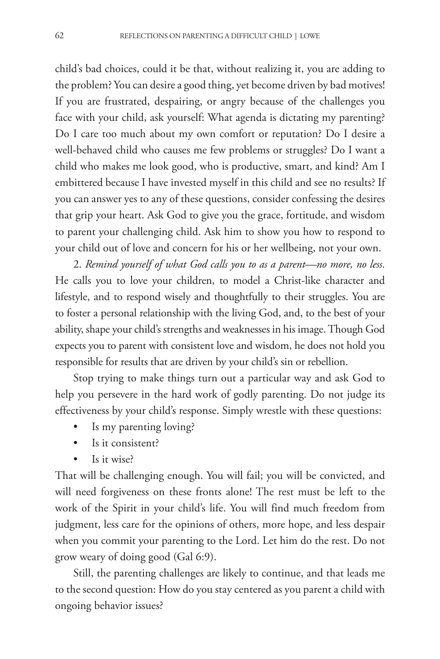child's bad choices, could it be that, without realizing it, you are adding to the problem? You can desire a good thing, yet become driven by bad motives! If you are frustrated, despairing, or angry because of the challenges you face with your child, ask yourself: What agenda is dictating my parenting? Do I care too much about my own comfort or reputation? Do I desire a well-behaved child who causes me few problems or struggles? Do I want a child who makes me look good, who is productive, smart, and kind? Am I embittered because I have invested myself in this child and see no results? If you can answer yes to any of these questions, consider confessing the desires that grip your heart. Ask God to give you the grace, fortitude, and wisdom to parent your challenging child. Ask him to show you how to respond to your child out of love and concern for his or her wellbeing, not your own.

2. *Remind yourself of what God calls you to as a parent—no more, no less*. He calls you to love your children, to model a Christ-like character and lifestyle, and to respond wisely and thoughtfully to their struggles. You are to foster a personal relationship with the living God, and, to the best of your ability, shape your child's strengths and weaknesses in his image.Though God expects you to parent with consistent love and wisdom, he does not hold you responsible for results that are driven by your child's sin or rebellion.

Stop trying to make things turn out a particular way and ask God to help you persevere in the hard work of godly parenting. Do not judge its effectiveness by your child's response. Simply wrestle with these questions:

- Is my parenting loving?
- Is it consistent?
- Is it wise?

That will be challenging enough. You will fail; you will be convicted, and will need forgiveness on these fronts alone! The rest must be left to the work of the Spirit in your child's life. You will find much freedom from judgment, less care for the opinions of others, more hope, and less despair when you commit your parenting to the Lord. Let him do the rest. Do not grow weary of doing good (Gal 6:9).

Still, the parenting challenges are likely to continue, and that leads me to the second question: How do you stay centered as you parent a child with ongoing behavior issues?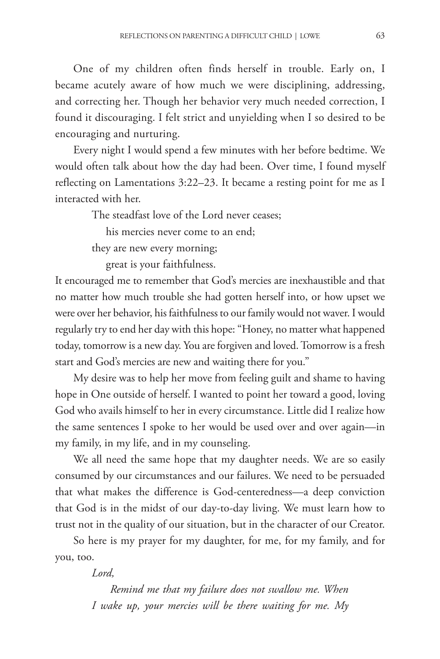One of my children often finds herself in trouble. Early on, I became acutely aware of how much we were disciplining, addressing, and correcting her. Though her behavior very much needed correction, I found it discouraging. I felt strict and unyielding when I so desired to be encouraging and nurturing.

Every night I would spend a few minutes with her before bedtime. We would often talk about how the day had been. Over time, I found myself reflecting on Lamentations 3:22–23. It became a resting point for me as I interacted with her.

The steadfast love of the Lord never ceases;

his mercies never come to an end;

they are new every morning;

great is your faithfulness.

It encouraged me to remember that God's mercies are inexhaustible and that no matter how much trouble she had gotten herself into, or how upset we were over her behavior, his faithfulness to our family would not waver. I would regularly try to end her day with this hope: "Honey, no matter what happened today, tomorrow is a new day. You are forgiven and loved. Tomorrow is a fresh start and God's mercies are new and waiting there for you."

My desire was to help her move from feeling guilt and shame to having hope in One outside of herself. I wanted to point her toward a good, loving God who avails himself to her in every circumstance. Little did I realize how the same sentences I spoke to her would be used over and over again—in my family, in my life, and in my counseling.

We all need the same hope that my daughter needs. We are so easily consumed by our circumstances and our failures. We need to be persuaded that what makes the difference is God-centeredness—a deep conviction that God is in the midst of our day-to-day living. We must learn how to trust not in the quality of our situation, but in the character of our Creator.

So here is my prayer for my daughter, for me, for my family, and for you, too.

*Lord,*

*Remind me that my failure does not swallow me. When I wake up, your mercies will be there waiting for me. My*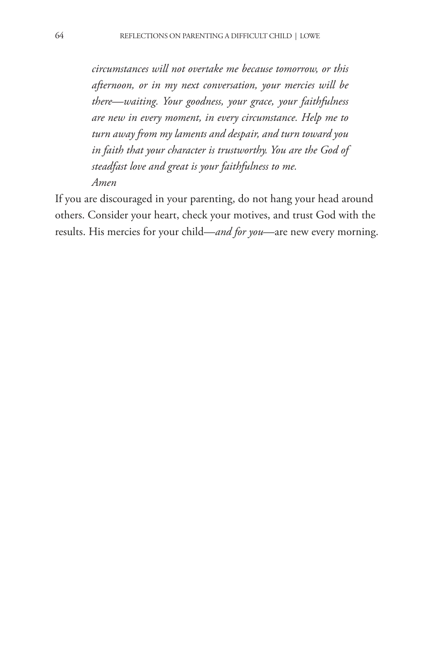*circumstances will not overtake me because tomorrow, or this afternoon, or in my next conversation, your mercies will be there—waiting. Your goodness, your grace, your faithfulness are new in every moment, in every circumstance. Help me to turn away from my laments and despair, and turn toward you in faith that your character is trustworthy. You are the God of steadfast love and great is your faithfulness to me. Amen*

If you are discouraged in your parenting, do not hang your head around others. Consider your heart, check your motives, and trust God with the results. His mercies for your child—*and for you*—are new every morning.